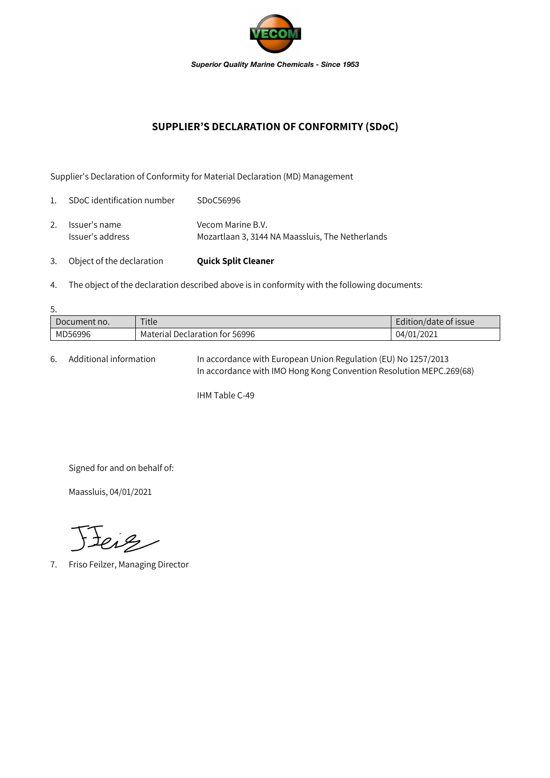

## **SUPPLIER'S DECLARATION OF CONFORMITY (SDoC)**

Supplier's Declaration of Conformity for Material Declaration (MD) Management

| 3.             | Object of the declaration         | <b>Quick Split Cleaner</b>                                            |
|----------------|-----------------------------------|-----------------------------------------------------------------------|
| 2.             | Issuer's name<br>Issuer's address | Vecom Marine B.V.<br>Mozartlaan 3, 3144 NA Maassluis, The Netherlands |
| $\mathbf{1}$ . | SDoC identification number        | SDoC56996                                                             |

- 
- 4. The object of the declaration described above is in conformity with the following documents:

| 5.           |                                |                       |  |  |  |  |
|--------------|--------------------------------|-----------------------|--|--|--|--|
| Document no. | Title                          | Edition/date of issue |  |  |  |  |
| MD56996      | Material Declaration for 56996 | 04/01/2021            |  |  |  |  |

6. Additional information In accordance with European Union Regulation (EU) No 1257/2013 In accordance with IMO Hong Kong Convention Resolution MEPC.269(68)

IHM Table C-49

Signed for and on behalf of:

Maassluis, 04/01/2021

Jeiz

7. Friso Feilzer, Managing Director